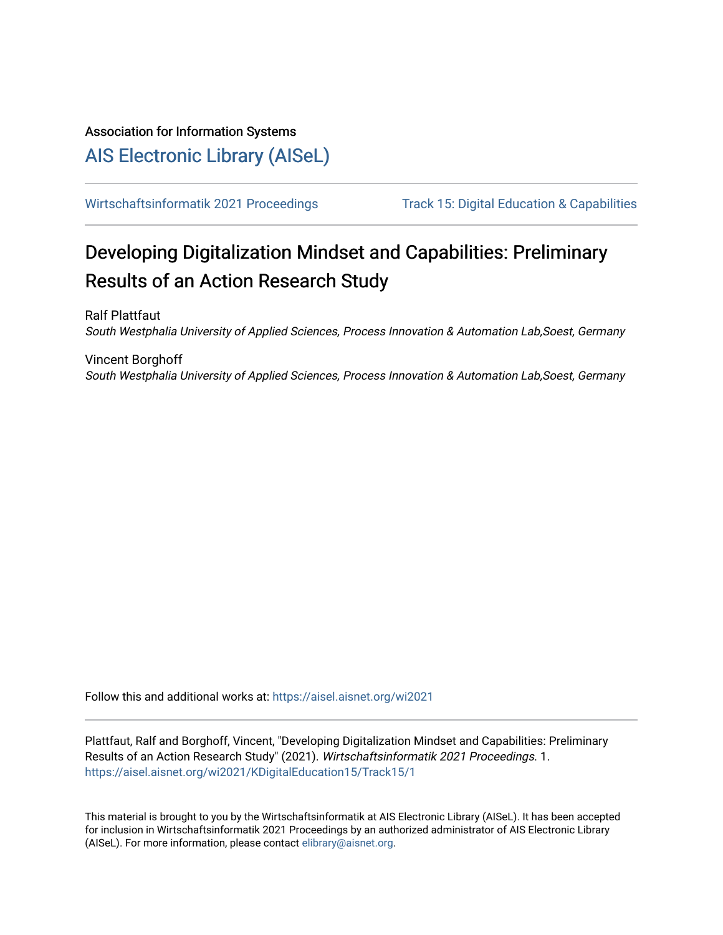## Association for Information Systems

# [AIS Electronic Library \(AISeL\)](https://aisel.aisnet.org/)

[Wirtschaftsinformatik 2021 Proceedings](https://aisel.aisnet.org/wi2021) Track 15: Digital Education & Capabilities

# Developing Digitalization Mindset and Capabilities: Preliminary Results of an Action Research Study

Ralf Plattfaut South Westphalia University of Applied Sciences, Process Innovation & Automation Lab,Soest, Germany

Vincent Borghoff South Westphalia University of Applied Sciences, Process Innovation & Automation Lab,Soest, Germany

Follow this and additional works at: [https://aisel.aisnet.org/wi2021](https://aisel.aisnet.org/wi2021?utm_source=aisel.aisnet.org%2Fwi2021%2FKDigitalEducation15%2FTrack15%2F1&utm_medium=PDF&utm_campaign=PDFCoverPages) 

Plattfaut, Ralf and Borghoff, Vincent, "Developing Digitalization Mindset and Capabilities: Preliminary Results of an Action Research Study" (2021). Wirtschaftsinformatik 2021 Proceedings. 1. [https://aisel.aisnet.org/wi2021/KDigitalEducation15/Track15/1](https://aisel.aisnet.org/wi2021/KDigitalEducation15/Track15/1?utm_source=aisel.aisnet.org%2Fwi2021%2FKDigitalEducation15%2FTrack15%2F1&utm_medium=PDF&utm_campaign=PDFCoverPages)

This material is brought to you by the Wirtschaftsinformatik at AIS Electronic Library (AISeL). It has been accepted for inclusion in Wirtschaftsinformatik 2021 Proceedings by an authorized administrator of AIS Electronic Library (AISeL). For more information, please contact [elibrary@aisnet.org](mailto:elibrary@aisnet.org%3E).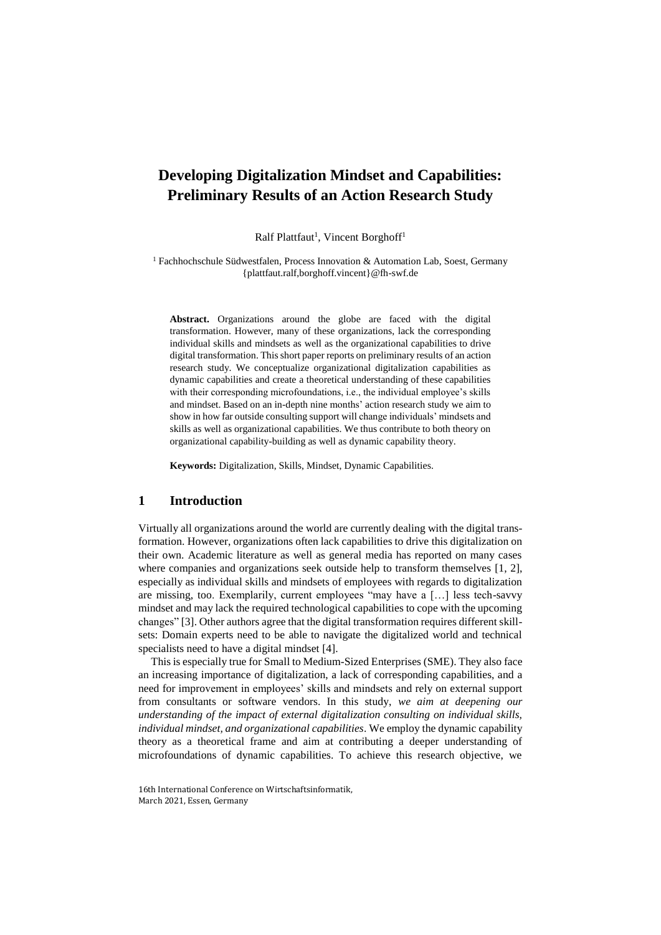## **Developing Digitalization Mindset and Capabilities: Preliminary Results of an Action Research Study**

Ralf Plattfaut<sup>1</sup>, Vincent Borghoff<sup>1</sup>

<sup>1</sup> Fachhochschule Südwestfalen, Process Innovation & Automation Lab, Soest, Germany {plattfaut.ralf,borghoff.vincent}@fh-swf.de

**Abstract.** Organizations around the globe are faced with the digital transformation. However, many of these organizations, lack the corresponding individual skills and mindsets as well as the organizational capabilities to drive digital transformation. This short paper reports on preliminary results of an action research study. We conceptualize organizational digitalization capabilities as dynamic capabilities and create a theoretical understanding of these capabilities with their corresponding microfoundations, i.e., the individual employee's skills and mindset. Based on an in-depth nine months' action research study we aim to show in how far outside consulting support will change individuals' mindsets and skills as well as organizational capabilities. We thus contribute to both theory on organizational capability-building as well as dynamic capability theory.

**Keywords:** Digitalization, Skills, Mindset, Dynamic Capabilities.

#### **1 Introduction**

Virtually all organizations around the world are currently dealing with the digital transformation. However, organizations often lack capabilities to drive this digitalization on their own. Academic literature as well as general media has reported on many cases where companies and organizations seek outside help to transform themselves [1, 2], especially as individual skills and mindsets of employees with regards to digitalization are missing, too. Exemplarily, current employees "may have a […] less tech-savvy mindset and may lack the required technological capabilities to cope with the upcoming changes" [3]. Other authors agree that the digital transformation requires different skillsets: Domain experts need to be able to navigate the digitalized world and technical specialists need to have a digital mindset [4].

This is especially true for Small to Medium-Sized Enterprises (SME). They also face an increasing importance of digitalization, a lack of corresponding capabilities, and a need for improvement in employees' skills and mindsets and rely on external support from consultants or software vendors. In this study, *we aim at deepening our understanding of the impact of external digitalization consulting on individual skills, individual mindset, and organizational capabilities*. We employ the dynamic capability theory as a theoretical frame and aim at contributing a deeper understanding of microfoundations of dynamic capabilities. To achieve this research objective, we

<sup>16</sup>th International Conference on Wirtschaftsinformatik, March 2021, Essen, Germany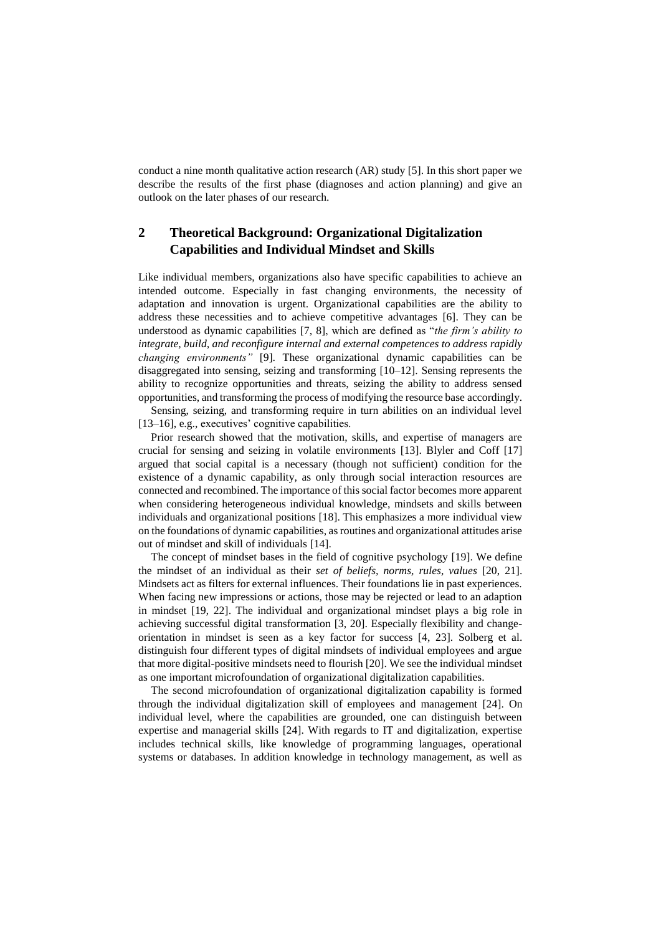conduct a nine month qualitative action research (AR) study [5]. In this short paper we describe the results of the first phase (diagnoses and action planning) and give an outlook on the later phases of our research.

### **2 Theoretical Background: Organizational Digitalization Capabilities and Individual Mindset and Skills**

Like individual members, organizations also have specific capabilities to achieve an intended outcome. Especially in fast changing environments, the necessity of adaptation and innovation is urgent. Organizational capabilities are the ability to address these necessities and to achieve competitive advantages [6]. They can be understood as dynamic capabilities [7, 8], which are defined as "*the firm's ability to integrate, build, and reconfigure internal and external competences to address rapidly changing environments"* [9]. These organizational dynamic capabilities can be disaggregated into sensing, seizing and transforming [10–12]. Sensing represents the ability to recognize opportunities and threats, seizing the ability to address sensed opportunities, and transforming the process of modifying the resource base accordingly.

Sensing, seizing, and transforming require in turn abilities on an individual level [13–16], e.g., executives' cognitive capabilities.

Prior research showed that the motivation, skills, and expertise of managers are crucial for sensing and seizing in volatile environments [13]. Blyler and Coff [17] argued that social capital is a necessary (though not sufficient) condition for the existence of a dynamic capability*,* as only through social interaction resources are connected and recombined. The importance of this social factor becomes more apparent when considering heterogeneous individual knowledge, mindsets and skills between individuals and organizational positions [18]. This emphasizes a more individual view on the foundations of dynamic capabilities, as routines and organizational attitudes arise out of mindset and skill of individuals [14].

The concept of mindset bases in the field of cognitive psychology [19]. We define the mindset of an individual as their *set of beliefs, norms, rules, values* [20, 21]. Mindsets act as filters for external influences. Their foundations lie in past experiences. When facing new impressions or actions, those may be rejected or lead to an adaption in mindset [19, 22]. The individual and organizational mindset plays a big role in achieving successful digital transformation [3, 20]. Especially flexibility and changeorientation in mindset is seen as a key factor for success [4, 23]. Solberg et al. distinguish four different types of digital mindsets of individual employees and argue that more digital-positive mindsets need to flourish [20]. We see the individual mindset as one important microfoundation of organizational digitalization capabilities.

The second microfoundation of organizational digitalization capability is formed through the individual digitalization skill of employees and management [24]. On individual level, where the capabilities are grounded, one can distinguish between expertise and managerial skills [24]. With regards to IT and digitalization, expertise includes technical skills, like knowledge of programming languages, operational systems or databases. In addition knowledge in technology management, as well as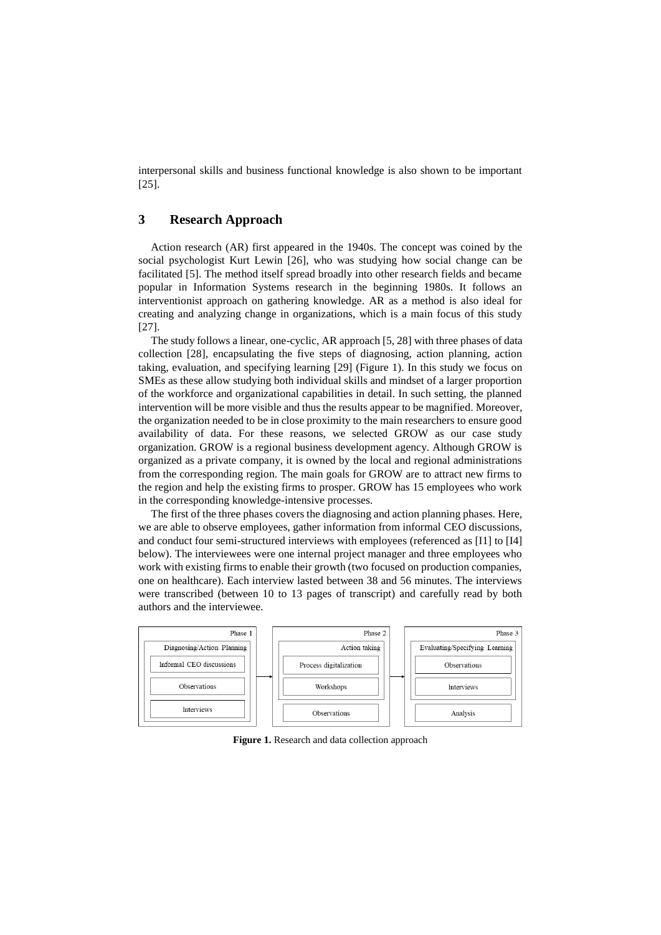interpersonal skills and business functional knowledge is also shown to be important [25].

#### **3 Research Approach**

Action research (AR) first appeared in the 1940s. The concept was coined by the social psychologist Kurt Lewin [26], who was studying how social change can be facilitated [5]. The method itself spread broadly into other research fields and became popular in Information Systems research in the beginning 1980s. It follows an interventionist approach on gathering knowledge. AR as a method is also ideal for creating and analyzing change in organizations, which is a main focus of this study [27].

The study follows a linear, one-cyclic, AR approach [5, 28] with three phases of data collection [28], encapsulating the five steps of diagnosing, action planning, action taking, evaluation, and specifying learning [29] (Figure 1). In this study we focus on SMEs as these allow studying both individual skills and mindset of a larger proportion of the workforce and organizational capabilities in detail. In such setting, the planned intervention will be more visible and thus the results appear to be magnified. Moreover, the organization needed to be in close proximity to the main researchers to ensure good availability of data. For these reasons, we selected GROW as our case study organization. GROW is a regional business development agency. Although GROW is organized as a private company, it is owned by the local and regional administrations from the corresponding region. The main goals for GROW are to attract new firms to the region and help the existing firms to prosper. GROW has 15 employees who work in the corresponding knowledge-intensive processes.

The first of the three phases covers the diagnosing and action planning phases. Here, we are able to observe employees, gather information from informal CEO discussions, and conduct four semi-structured interviews with employees (referenced as [I1] to [I4] below). The interviewees were one internal project manager and three employees who work with existing firms to enable their growth (two focused on production companies, one on healthcare). Each interview lasted between 38 and 56 minutes. The interviews were transcribed (between 10 to 13 pages of transcript) and carefully read by both authors and the interviewee.



**Figure 1.** Research and data collection approach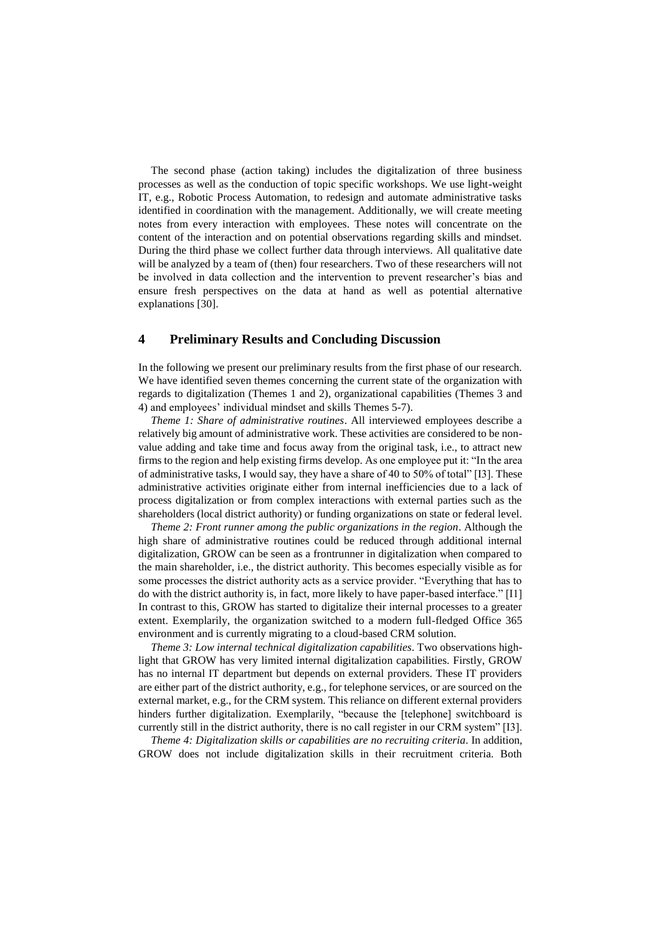The second phase (action taking) includes the digitalization of three business processes as well as the conduction of topic specific workshops. We use light-weight IT, e.g., Robotic Process Automation, to redesign and automate administrative tasks identified in coordination with the management. Additionally, we will create meeting notes from every interaction with employees. These notes will concentrate on the content of the interaction and on potential observations regarding skills and mindset. During the third phase we collect further data through interviews. All qualitative date will be analyzed by a team of (then) four researchers. Two of these researchers will not be involved in data collection and the intervention to prevent researcher's bias and ensure fresh perspectives on the data at hand as well as potential alternative explanations [30].

#### **4 Preliminary Results and Concluding Discussion**

In the following we present our preliminary results from the first phase of our research. We have identified seven themes concerning the current state of the organization with regards to digitalization (Themes 1 and 2), organizational capabilities (Themes 3 and 4) and employees' individual mindset and skills Themes 5-7).

*Theme 1: Share of administrative routines*. All interviewed employees describe a relatively big amount of administrative work. These activities are considered to be nonvalue adding and take time and focus away from the original task, i.e., to attract new firms to the region and help existing firms develop. As one employee put it: "In the area of administrative tasks, I would say, they have a share of 40 to 50% of total" [I3]. These administrative activities originate either from internal inefficiencies due to a lack of process digitalization or from complex interactions with external parties such as the shareholders (local district authority) or funding organizations on state or federal level.

*Theme 2: Front runner among the public organizations in the region*. Although the high share of administrative routines could be reduced through additional internal digitalization, GROW can be seen as a frontrunner in digitalization when compared to the main shareholder, i.e., the district authority. This becomes especially visible as for some processes the district authority acts as a service provider. "Everything that has to do with the district authority is, in fact, more likely to have paper-based interface." [I1] In contrast to this, GROW has started to digitalize their internal processes to a greater extent. Exemplarily, the organization switched to a modern full-fledged Office 365 environment and is currently migrating to a cloud-based CRM solution.

*Theme 3: Low internal technical digitalization capabilities*. Two observations highlight that GROW has very limited internal digitalization capabilities. Firstly, GROW has no internal IT department but depends on external providers. These IT providers are either part of the district authority, e.g., for telephone services, or are sourced on the external market, e.g., for the CRM system. This reliance on different external providers hinders further digitalization. Exemplarily, "because the [telephone] switchboard is currently still in the district authority, there is no call register in our CRM system" [I3].

*Theme 4: Digitalization skills or capabilities are no recruiting criteria*. In addition, GROW does not include digitalization skills in their recruitment criteria. Both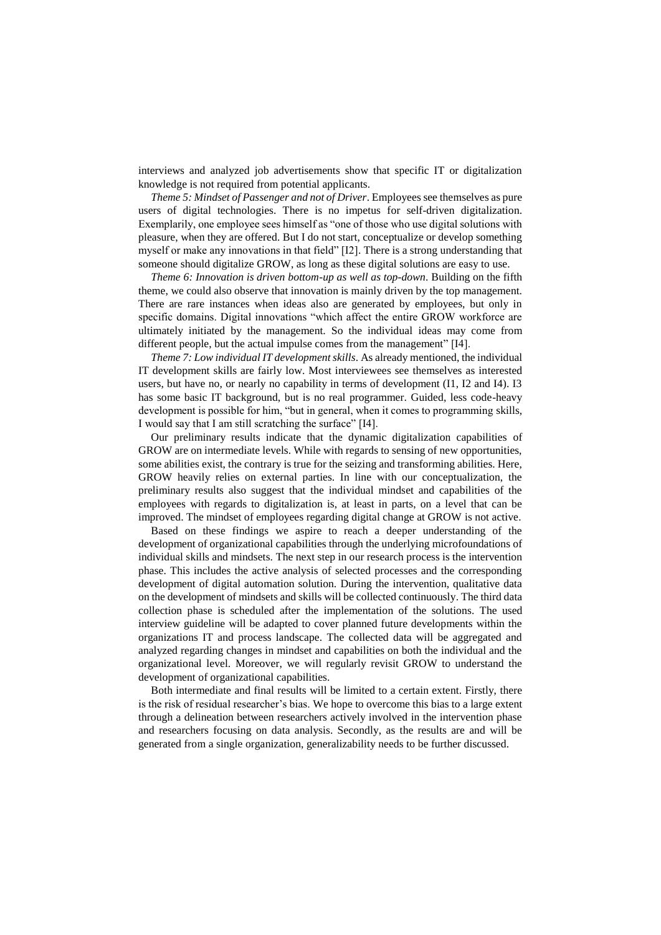interviews and analyzed job advertisements show that specific IT or digitalization knowledge is not required from potential applicants.

*Theme 5: Mindset of Passenger and not of Driver*. Employees see themselves as pure users of digital technologies. There is no impetus for self-driven digitalization. Exemplarily, one employee sees himself as "one of those who use digital solutions with pleasure, when they are offered. But I do not start, conceptualize or develop something myself or make any innovations in that field" [I2]. There is a strong understanding that someone should digitalize GROW, as long as these digital solutions are easy to use.

*Theme 6: Innovation is driven bottom-up as well as top-down*. Building on the fifth theme, we could also observe that innovation is mainly driven by the top management. There are rare instances when ideas also are generated by employees, but only in specific domains. Digital innovations "which affect the entire GROW workforce are ultimately initiated by the management. So the individual ideas may come from different people, but the actual impulse comes from the management" [I4].

*Theme 7: Low individual IT development skills*. As already mentioned, the individual IT development skills are fairly low. Most interviewees see themselves as interested users, but have no, or nearly no capability in terms of development (I1, I2 and I4). I3 has some basic IT background, but is no real programmer. Guided, less code-heavy development is possible for him, "but in general, when it comes to programming skills, I would say that I am still scratching the surface" [I4].

Our preliminary results indicate that the dynamic digitalization capabilities of GROW are on intermediate levels. While with regards to sensing of new opportunities, some abilities exist, the contrary is true for the seizing and transforming abilities. Here, GROW heavily relies on external parties. In line with our conceptualization, the preliminary results also suggest that the individual mindset and capabilities of the employees with regards to digitalization is, at least in parts, on a level that can be improved. The mindset of employees regarding digital change at GROW is not active.

Based on these findings we aspire to reach a deeper understanding of the development of organizational capabilities through the underlying microfoundations of individual skills and mindsets. The next step in our research process is the intervention phase. This includes the active analysis of selected processes and the corresponding development of digital automation solution. During the intervention, qualitative data on the development of mindsets and skills will be collected continuously. The third data collection phase is scheduled after the implementation of the solutions. The used interview guideline will be adapted to cover planned future developments within the organizations IT and process landscape. The collected data will be aggregated and analyzed regarding changes in mindset and capabilities on both the individual and the organizational level. Moreover, we will regularly revisit GROW to understand the development of organizational capabilities.

Both intermediate and final results will be limited to a certain extent. Firstly, there is the risk of residual researcher's bias. We hope to overcome this bias to a large extent through a delineation between researchers actively involved in the intervention phase and researchers focusing on data analysis. Secondly, as the results are and will be generated from a single organization, generalizability needs to be further discussed.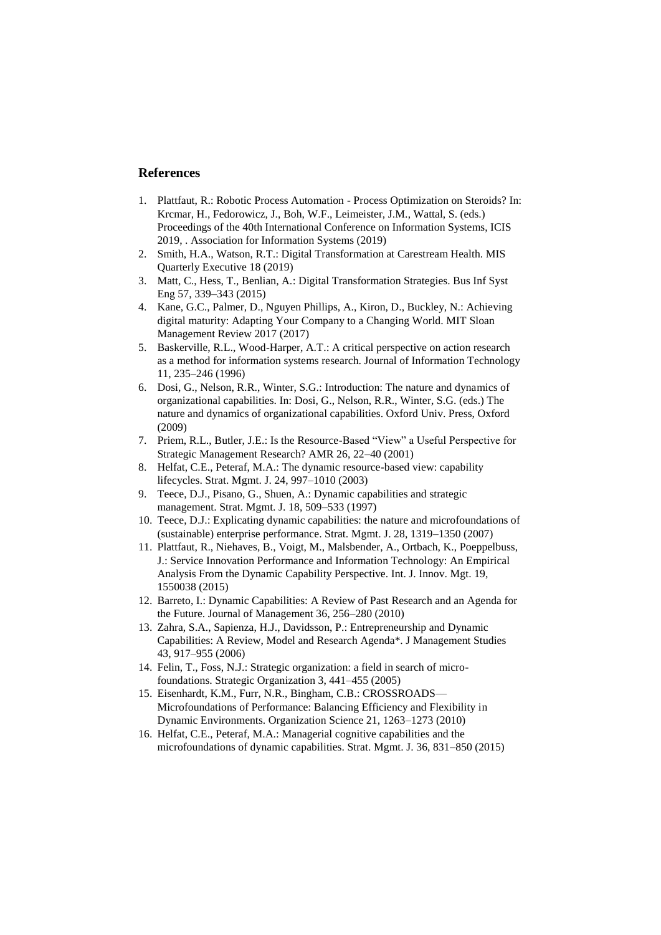#### **References**

- 1. Plattfaut, R.: Robotic Process Automation Process Optimization on Steroids? In: Krcmar, H., Fedorowicz, J., Boh, W.F., Leimeister, J.M., Wattal, S. (eds.) Proceedings of the 40th International Conference on Information Systems, ICIS 2019, . Association for Information Systems (2019)
- 2. Smith, H.A., Watson, R.T.: Digital Transformation at Carestream Health. MIS Quarterly Executive 18 (2019)
- 3. Matt, C., Hess, T., Benlian, A.: Digital Transformation Strategies. Bus Inf Syst Eng 57, 339–343 (2015)
- 4. Kane, G.C., Palmer, D., Nguyen Phillips, A., Kiron, D., Buckley, N.: Achieving digital maturity: Adapting Your Company to a Changing World. MIT Sloan Management Review 2017 (2017)
- 5. Baskerville, R.L., Wood-Harper, A.T.: A critical perspective on action research as a method for information systems research. Journal of Information Technology 11, 235–246 (1996)
- 6. Dosi, G., Nelson, R.R., Winter, S.G.: Introduction: The nature and dynamics of organizational capabilities. In: Dosi, G., Nelson, R.R., Winter, S.G. (eds.) The nature and dynamics of organizational capabilities. Oxford Univ. Press, Oxford (2009)
- 7. Priem, R.L., Butler, J.E.: Is the Resource-Based "View" a Useful Perspective for Strategic Management Research? AMR 26, 22–40 (2001)
- 8. Helfat, C.E., Peteraf, M.A.: The dynamic resource-based view: capability lifecycles. Strat. Mgmt. J. 24, 997–1010 (2003)
- 9. Teece, D.J., Pisano, G., Shuen, A.: Dynamic capabilities and strategic management. Strat. Mgmt. J. 18, 509–533 (1997)
- 10. Teece, D.J.: Explicating dynamic capabilities: the nature and microfoundations of (sustainable) enterprise performance. Strat. Mgmt. J. 28, 1319–1350 (2007)
- 11. Plattfaut, R., Niehaves, B., Voigt, M., Malsbender, A., Ortbach, K., Poeppelbuss, J.: Service Innovation Performance and Information Technology: An Empirical Analysis From the Dynamic Capability Perspective. Int. J. Innov. Mgt. 19, 1550038 (2015)
- 12. Barreto, I.: Dynamic Capabilities: A Review of Past Research and an Agenda for the Future. Journal of Management 36, 256–280 (2010)
- 13. Zahra, S.A., Sapienza, H.J., Davidsson, P.: Entrepreneurship and Dynamic Capabilities: A Review, Model and Research Agenda\*. J Management Studies 43, 917–955 (2006)
- 14. Felin, T., Foss, N.J.: Strategic organization: a field in search of microfoundations. Strategic Organization 3, 441–455 (2005)
- 15. Eisenhardt, K.M., Furr, N.R., Bingham, C.B.: CROSSROADS— Microfoundations of Performance: Balancing Efficiency and Flexibility in Dynamic Environments. Organization Science 21, 1263–1273 (2010)
- 16. Helfat, C.E., Peteraf, M.A.: Managerial cognitive capabilities and the microfoundations of dynamic capabilities. Strat. Mgmt. J. 36, 831–850 (2015)